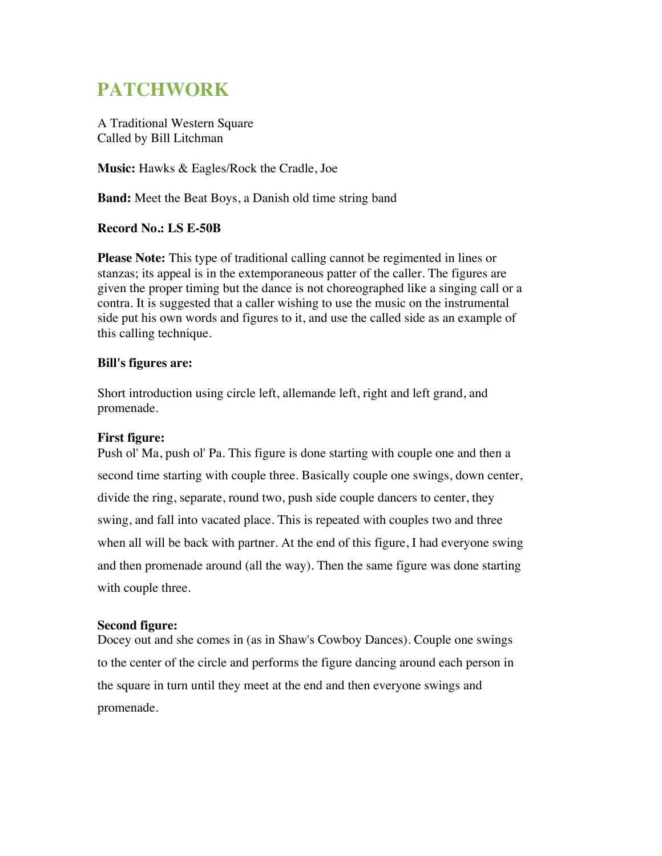# **PATCHWORK**

A Traditional Western Square Called by Bill Litchman

**Music:** Hawks & Eagles/Rock the Cradle, Joe

**Band:** Meet the Beat Boys, a Danish old time string band

# **Record No.: LS E-50B**

**Please Note:** This type of traditional calling cannot be regimented in lines or stanzas; its appeal is in the extemporaneous patter of the caller. The figures are given the proper timing but the dance is not choreographed like a singing call or a contra. It is suggested that a caller wishing to use the music on the instrumental side put his own words and figures to it, and use the called side as an example of this calling technique.

## **Bill's figures are:**

Short introduction using circle left, allemande left, right and left grand, and promenade.

# **First figure:**

Push ol' Ma, push ol' Pa. This figure is done starting with couple one and then a second time starting with couple three. Basically couple one swings, down center, divide the ring, separate, round two, push side couple dancers to center, they swing, and fall into vacated place. This is repeated with couples two and three when all will be back with partner. At the end of this figure, I had everyone swing and then promenade around (all the way). Then the same figure was done starting with couple three.

#### **Second figure:**

Docey out and she comes in (as in Shaw's Cowboy Dances). Couple one swings to the center of the circle and performs the figure dancing around each person in the square in turn until they meet at the end and then everyone swings and promenade.